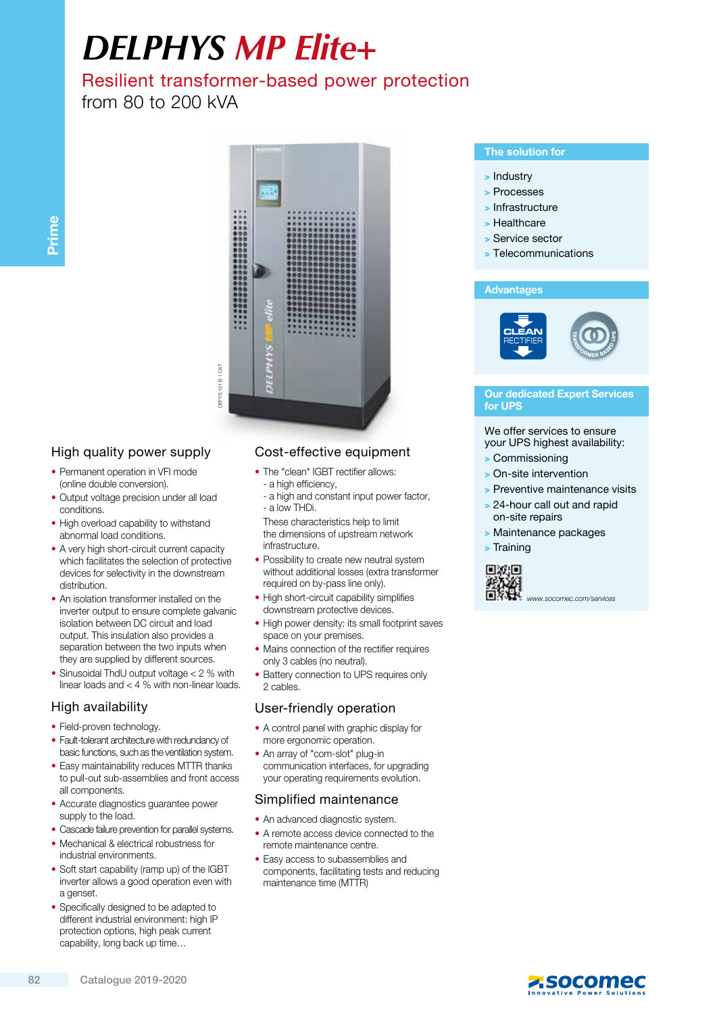# *DELPHYS MP Elite+*

## Resilient transformer-based power protection

### from 80 to 200 kVA



#### High quality power supply

- Permanent operation in VFI mode (online double conversion).
- Output voltage precision under all load conditions.
- High overload capability to withstand abnormal load conditions.
- A very high short-circuit current capacity which facilitates the selection of protective devices for selectivity in the downstream distribution.
- An isolation transformer installed on the inverter output to ensure complete galvanic isolation between DC circuit and load output. This insulation also provides a separation between the two inputs when they are supplied by different sources.
- Sinusoidal ThdU output voltage < 2 % with linear loads and < 4 % with non-linear loads.

#### High availability

- Field-proven technology.
- Fault-tolerant architecture with redundancy of basic functions, such as the ventilation system.
- Easy maintainability reduces MTTR thanks to pull-out sub-assemblies and front access all components.
- Accurate diagnostics guarantee power supply to the load.
- Cascade failure prevention for parallel systems.
- Mechanical & electrical robustness for industrial environments.
- Soft start capability (ramp up) of the IGBT inverter allows a good operation even with a genset.
- Specifically designed to be adapted to different industrial environment: high IP protection options, high peak current capability, long back up time…

#### Cost-effective equipment

- The "clean" IGBT rectifier allows: - a high efficiency,
	- a high and constant input power factor, - a low THDi.
	- These characteristics help to limit the dimensions of upstream network infrastructure.
- Possibility to create new neutral system without additional losses (extra transformer required on by-pass line only).
- High short-circuit capability simplifies downstream protective devices.
- High power density: its small footprint saves space on your premises.
- Mains connection of the rectifier requires only 3 cables (no neutral).
- Battery connection to UPS requires only 2 cables.

#### User-friendly operation

- A control panel with graphic display for more ergonomic operation.
- An array of "com-slot" plug-in communication interfaces, for upgrading your operating requirements evolution.

#### Simplified maintenance

- An advanced diagnostic system.
- A remote access device connected to the remote maintenance centre.
- Easy access to subassemblies and components, facilitating tests and reducing maintenance time (MTTR)

#### The solution for

- > Industry
- > Processes
- > Infrastructure
- > Healthcare
- > Service sector
- > Telecommunications

#### **Advantages**



#### Our dedicated Expert Services for UPS

#### We offer services to ensure your UPS highest availability:

- > Commissioning
- > On-site intervention
- > Preventive maintenance visits
- > 24-hour call out and rapid on-site repairs
- > Maintenance packages

> Training



www.socomec.com/services